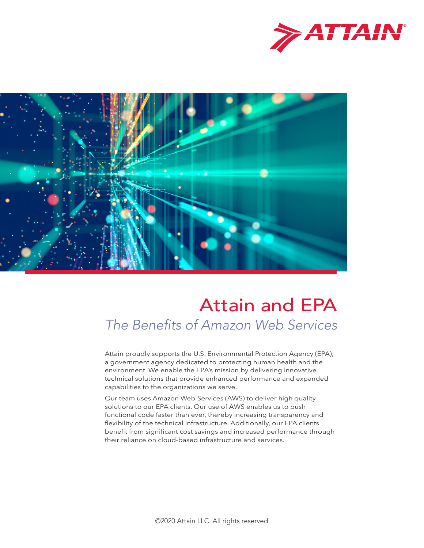



# The Benefits of Amazon Web Services Attain and EPA

Attain proudly supports the U.S. Environmental Protection Agency (EPA), a government agency dedicated to protecting human health and the environment. We enable the EPA's mission by delivering innovative technical solutions that provide enhanced performance and expanded capabilities to the organizations we serve.

Our team uses Amazon Web Services (AWS) to deliver high quality solutions to our EPA clients. Our use of AWS enables us to push functional code faster than ever, thereby increasing transparency and flexibility of the technical infrastructure. Additionally, our EPA clients benefit from significant cost savings and increased performance through their reliance on cloud-based infrastructure and services.